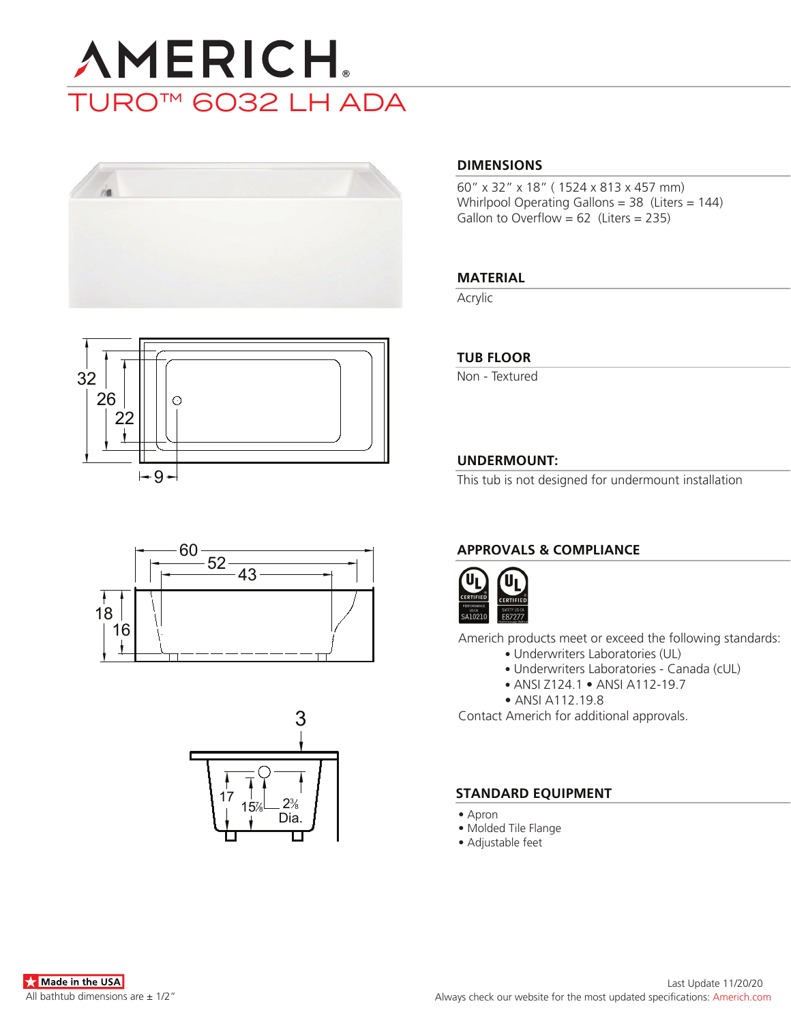# **AMERICH** TURO™ 6032 LH ADA









## **DIMENSIONS**

60" x 32" x 18" ( 1524 x 813 x 457 mm) Whirlpool Operating Gallons = 38 (Liters = 144) Gallon to Overflow =  $62$  (Liters = 235)

## **MATERIAL**

Acrylic

## **TUB FLOOR**

Non - Textured

## **UNDERMOUNT:**

This tub is not designed for undermount installation

## **APPROVALS & COMPLIANCE**



Americh products meet or exceed the following standards:

- Underwriters Laboratories (UL)
	- Underwriters Laboratories Canada (cUL)
	- ANSI Z124.1 ANSI A112-19.7
- ANSI A112.19.8

Contact Americh for additional approvals.

## **STANDARD EQUIPMENT**

- Apron
- Molded Tile Flange
- Adjustable feet